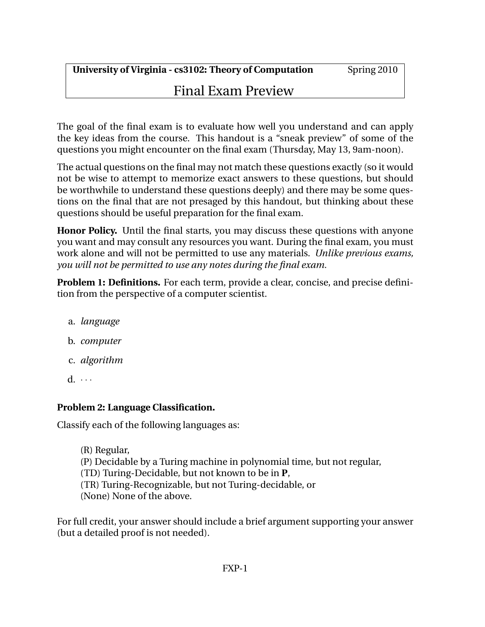# Final Exam Preview

The goal of the final exam is to evaluate how well you understand and can apply the key ideas from the course. This handout is a "sneak preview" of some of the questions you might encounter on the final exam (Thursday, May 13, 9am-noon).

The actual questions on the final may not match these questions exactly (so it would not be wise to attempt to memorize exact answers to these questions, but should be worthwhile to understand these questions deeply) and there may be some questions on the final that are not presaged by this handout, but thinking about these questions should be useful preparation for the final exam.

**Honor Policy.** Until the final starts, you may discuss these questions with anyone you want and may consult any resources you want. During the final exam, you must work alone and will not be permitted to use any materials. *Unlike previous exams, you will not be permitted to use any notes during the final exam.*

**Problem 1: Definitions.** For each term, provide a clear, concise, and precise definition from the perspective of a computer scientist.

- a. *language*
- b. *computer*
- c. *algorithm*
- $d. \cdots$

## **Problem 2: Language Classification.**

Classify each of the following languages as:

(R) Regular, (P) Decidable by a Turing machine in polynomial time, but not regular, (TD) Turing-Decidable, but not known to be in **P**, (TR) Turing-Recognizable, but not Turing-decidable, or (None) None of the above.

For full credit, your answer should include a brief argument supporting your answer (but a detailed proof is not needed).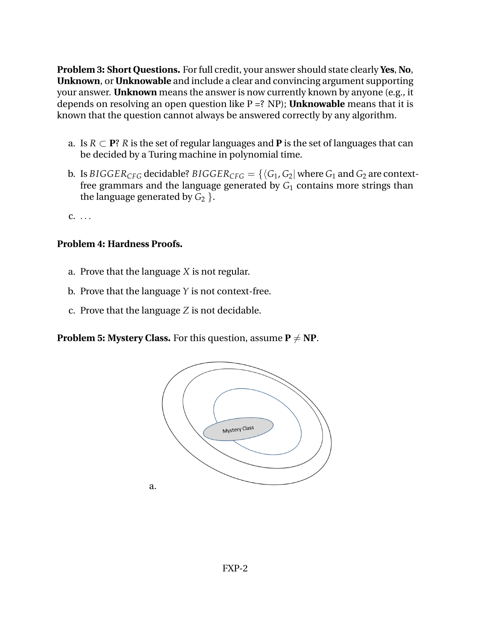**Problem 3: Short Questions.** For full credit, your answer should state clearly **Yes**, **No**, **Unknown**, or **Unknowable** and include a clear and convincing argument supporting your answer. **Unknown** means the answer is now currently known by anyone (e.g., it depends on resolving an open question like P =? NP); **Unknowable** means that it is known that the question cannot always be answered correctly by any algorithm.

- a. Is  $R \subset \mathbf{P}$ ? *R* is the set of regular languages and **P** is the set of languages that can be decided by a Turing machine in polynomial time.
- b. Is *BIGGER*<sub>CFG</sub> decidable? *BIGGER*<sub>CFG</sub> = { $\langle G_1, G_2 |$  where  $G_1$  and  $G_2$  are contextfree grammars and the language generated by  $G_1$  contains more strings than the language generated by  $G_2$  }.

c. . . .

## **Problem 4: Hardness Proofs.**

- a. Prove that the language *X* is not regular.
- b. Prove that the language *Y* is not context-free.
- c. Prove that the language *Z* is not decidable.

**Problem 5: Mystery Class.** For this question, assume  $P \neq NP$ .

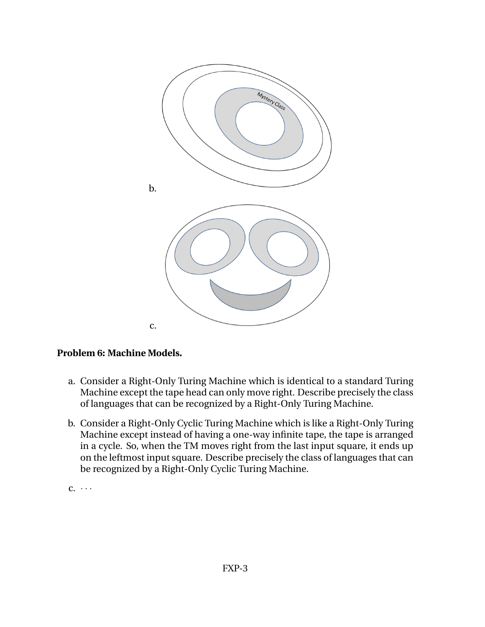

## **Problem 6: Machine Models.**

- a. Consider a Right-Only Turing Machine which is identical to a standard Turing Machine except the tape head can only move right. Describe precisely the class of languages that can be recognized by a Right-Only Turing Machine.
- b. Consider a Right-Only Cyclic Turing Machine which is like a Right-Only Turing Machine except instead of having a one-way infinite tape, the tape is arranged in a cycle. So, when the TM moves right from the last input square, it ends up on the leftmost input square. Describe precisely the class of languages that can be recognized by a Right-Only Cyclic Turing Machine.

 $c. \cdots$